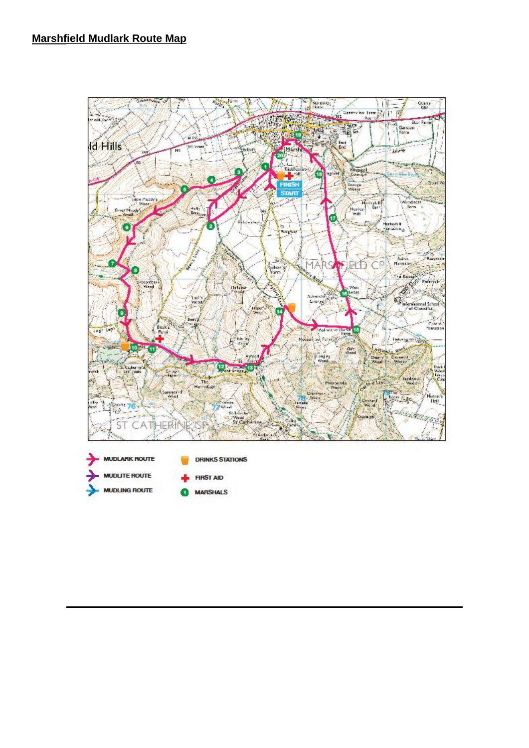

**MUDLING ROUTE MARSHALS** G